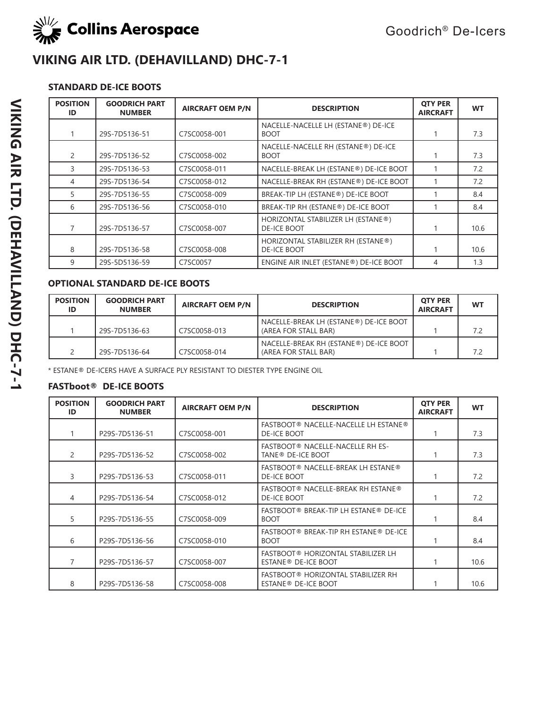

### **STANDARD DE-ICE BOOTS**

| <b>POSITION</b><br>ID | <b>GOODRICH PART</b><br><b>NUMBER</b> | <b>AIRCRAFT OEM P/N</b> | <b>DESCRIPTION</b>                                       | <b>OTY PER</b><br><b>AIRCRAFT</b> | <b>WT</b> |
|-----------------------|---------------------------------------|-------------------------|----------------------------------------------------------|-----------------------------------|-----------|
|                       | 29S-7D5136-51                         | C7SC0058-001            | NACELLE-NACELLE LH (ESTANE®) DE-ICE<br><b>BOOT</b>       |                                   | 7.3       |
| 2                     | 29S-7D5136-52                         | C7SC0058-002            | NACELLE-NACELLE RH (ESTANE®) DE-ICE<br><b>BOOT</b>       |                                   | 7.3       |
| 3                     | 29S-7D5136-53                         | C7SC0058-011            | NACELLE-BREAK LH (ESTANE®) DE-ICE BOOT                   |                                   | 7.2       |
| 4                     | 29S-7D5136-54                         | C7SC0058-012            | NACELLE-BREAK RH (ESTANE®) DE-ICE BOOT                   |                                   | 7.2       |
| 5                     | 29S-7D5136-55                         | C7SC0058-009            | BREAK-TIP LH (ESTANE®) DE-ICE BOOT                       |                                   | 8.4       |
| 6                     | 29S-7D5136-56                         | C7SC0058-010            | BREAK-TIP RH (ESTANE®) DE-ICE BOOT                       |                                   | 8.4       |
|                       | 29S-7D5136-57                         | C7SC0058-007            | HORIZONTAL STABILIZER LH (ESTANE®)<br><b>DE-ICE BOOT</b> |                                   | 10.6      |
| 8                     | 29S-7D5136-58                         | C7SC0058-008            | HORIZONTAL STABILIZER RH (ESTANE®)<br><b>DE-ICE BOOT</b> |                                   | 10.6      |
| 9                     | 29S-5D5136-59                         | C7SC0057                | ENGINE AIR INLET (ESTANE®) DE-ICE BOOT                   | 4                                 | 1.3       |

#### **OPTIONAL STANDARD DE-ICE BOOTS**

| <b>POSITION</b> | <b>GOODRICH PART</b><br><b>NUMBER</b> | <b>AIRCRAFT OEM P/N</b> | <b>DESCRIPTION</b>                                             | <b>OTY PER</b><br><b>AIRCRAFT</b> | <b>WT</b> |
|-----------------|---------------------------------------|-------------------------|----------------------------------------------------------------|-----------------------------------|-----------|
|                 | 29S-7D5136-63                         | C7SC0058-013            | NACELLE-BREAK LH (ESTANE®) DE-ICE BOOT<br>(AREA FOR STALL BAR) |                                   | 7.2       |
|                 | 29S-7D5136-64                         | C7SC0058-014            | NACELLE-BREAK RH (ESTANE®) DE-ICE BOOT<br>(AREA FOR STALL BAR) |                                   | 7.2       |

\* ESTANE® DE-ICERS HAVE A SURFACE PLY RESISTANT TO DIESTER TYPE ENGINE OIL

| <b>POSITION</b><br>ID | <b>GOODRICH PART</b><br><b>NUMBER</b> | <b>AIRCRAFT OEM P/N</b> | <b>DESCRIPTION</b>                                                    | <b>OTY PER</b><br><b>AIRCRAFT</b> | <b>WT</b> |
|-----------------------|---------------------------------------|-------------------------|-----------------------------------------------------------------------|-----------------------------------|-----------|
|                       | P29S-7D5136-51                        | C7SC0058-001            | FASTBOOT® NACELLE-NACELLE LH ESTANE®<br>DE-ICE BOOT                   |                                   | 7.3       |
| 2                     | P29S-7D5136-52                        | C7SC0058-002            | FASTBOOT® NACELLE-NACELLE RH ES-<br>TANE <sup>®</sup> DE-ICE BOOT     |                                   | 7.3       |
| 3                     | P29S-7D5136-53                        | C7SC0058-011            | FASTBOOT® NACELLE-BREAK LH ESTANE®<br><b>DE-ICE BOOT</b>              |                                   | 7.2       |
| 4                     | P29S-7D5136-54                        | C7SC0058-012            | FASTBOOT® NACELLE-BREAK RH ESTANE®<br><b>DE-ICE BOOT</b>              |                                   | 7.2       |
| 5                     | P29S-7D5136-55                        | C7SC0058-009            | FASTBOOT® BREAK-TIP LH ESTANE® DE-ICE<br><b>BOOT</b>                  |                                   | 8.4       |
| 6                     | P29S-7D5136-56                        | C7SC0058-010            | FASTBOOT® BREAK-TIP RH ESTANE® DE-ICE<br><b>BOOT</b>                  |                                   | 8.4       |
|                       | P29S-7D5136-57                        | C7SC0058-007            | FASTBOOT® HORIZONTAL STABILIZER LH<br>ESTANE <sup>®</sup> DE-ICE BOOT |                                   | 10.6      |
| 8                     | P29S-7D5136-58                        | C7SC0058-008            | FASTBOOT® HORIZONTAL STABILIZER RH<br>ESTANE <sup>®</sup> DE-ICE BOOT |                                   | 10.6      |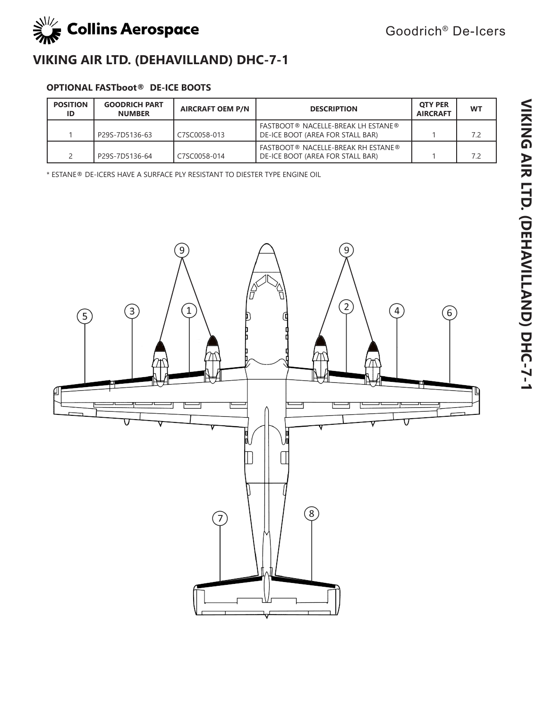

### **OPTIONAL FASTboot® DE-ICE BOOTS**

| <b>POSITION</b><br>ID | <b>GOODRICH PART</b><br><b>NUMBER</b> | <b>AIRCRAFT OEM P/N</b> | <b>DESCRIPTION</b>                                                            | <b>OTY PER</b><br><b>AIRCRAFT</b> | <b>WT</b> |
|-----------------------|---------------------------------------|-------------------------|-------------------------------------------------------------------------------|-----------------------------------|-----------|
|                       | P29S-7D5136-63                        | C7SC0058-013            | <b>FASTBOOT® NACELLE-BREAK LH ESTANE®</b><br>DE-ICE BOOT (AREA FOR STALL BAR) |                                   | 7.2       |
|                       | P29S-7D5136-64                        | C7SC0058-014            | <b>FASTBOOT® NACELLE-BREAK RH ESTANE®</b><br>DE-ICE BOOT (AREA FOR STALL BAR) |                                   | 7.2       |

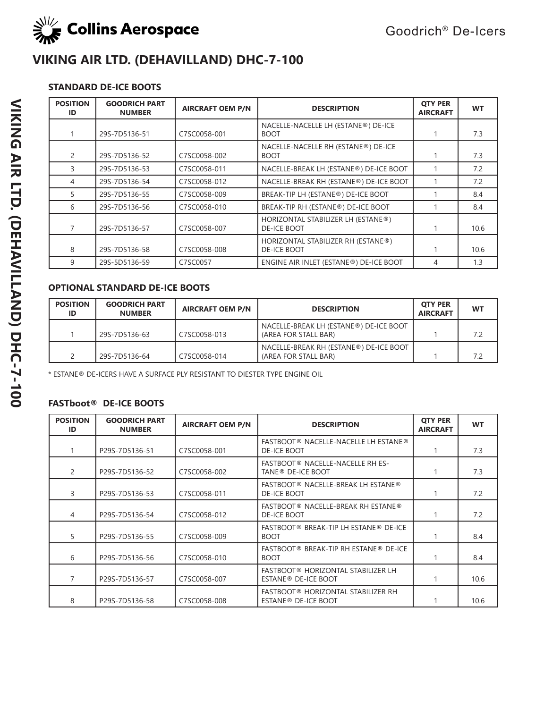

### **STANDARD DE-ICE BOOTS**

| <b>POSITION</b><br>ID | <b>GOODRICH PART</b><br><b>NUMBER</b> | <b>AIRCRAFT OEM P/N</b> | <b>DESCRIPTION</b>                                       | <b>OTY PER</b><br><b>AIRCRAFT</b> | <b>WT</b> |
|-----------------------|---------------------------------------|-------------------------|----------------------------------------------------------|-----------------------------------|-----------|
|                       | 29S-7D5136-51                         | C7SC0058-001            | NACELLE-NACELLE LH (ESTANE®) DE-ICE<br><b>BOOT</b>       |                                   | 7.3       |
| 2                     | 29S-7D5136-52                         | C7SC0058-002            | NACELLE-NACELLE RH (ESTANE®) DE-ICE<br><b>BOOT</b>       |                                   | 7.3       |
| 3                     | 29S-7D5136-53                         | C7SC0058-011            | NACELLE-BREAK LH (ESTANE®) DE-ICE BOOT                   |                                   | 7.2       |
| 4                     | 29S-7D5136-54                         | C7SC0058-012            | NACELLE-BREAK RH (ESTANE®) DE-ICE BOOT                   |                                   | 7.2       |
| 5                     | 29S-7D5136-55                         | C7SC0058-009            | BREAK-TIP LH (ESTANE®) DE-ICE BOOT                       |                                   | 8.4       |
| 6                     | 29S-7D5136-56                         | C7SC0058-010            | BREAK-TIP RH (ESTANE®) DE-ICE BOOT                       |                                   | 8.4       |
|                       | 29S-7D5136-57                         | C7SC0058-007            | HORIZONTAL STABILIZER LH (ESTANE®)<br><b>DE-ICE BOOT</b> |                                   | 10.6      |
| 8                     | 29S-7D5136-58                         | C7SC0058-008            | HORIZONTAL STABILIZER RH (ESTANE®)<br><b>DE-ICE BOOT</b> |                                   | 10.6      |
| 9                     | 29S-5D5136-59                         | C7SC0057                | ENGINE AIR INLET (ESTANE®) DE-ICE BOOT                   | 4                                 | 1.3       |

### **OPTIONAL STANDARD DE-ICE BOOTS**

| <b>POSITION</b><br>ID | <b>GOODRICH PART</b><br><b>NUMBER</b> | <b>AIRCRAFT OEM P/N</b> | <b>DESCRIPTION</b>                                             | <b>OTY PER</b><br><b>AIRCRAFT</b> | <b>WT</b> |
|-----------------------|---------------------------------------|-------------------------|----------------------------------------------------------------|-----------------------------------|-----------|
|                       | 29S-7D5136-63                         | C7SC0058-013            | NACELLE-BREAK LH (ESTANE®) DE-ICE BOOT<br>(AREA FOR STALL BAR) |                                   | 7.2       |
|                       | 29S-7D5136-64                         | C7SC0058-014            | NACELLE-BREAK RH (ESTANE®) DE-ICE BOOT<br>(AREA FOR STALL BAR) |                                   | 7.2       |

\* ESTANE® DE-ICERS HAVE A SURFACE PLY RESISTANT TO DIESTER TYPE ENGINE OIL

| <b>POSITION</b><br>ID | <b>GOODRICH PART</b><br><b>NUMBER</b> | <b>AIRCRAFT OEM P/N</b> | <b>DESCRIPTION</b>                                                    | <b>OTY PER</b><br><b>AIRCRAFT</b> | <b>WT</b> |
|-----------------------|---------------------------------------|-------------------------|-----------------------------------------------------------------------|-----------------------------------|-----------|
|                       | P29S-7D5136-51                        | C7SC0058-001            | <b>FASTBOOT® NACELLE-NACELLE LH ESTANE®</b><br><b>DE-ICE BOOT</b>     |                                   | 7.3       |
| 2                     | P29S-7D5136-52                        | C7SC0058-002            | FASTBOOT® NACELLE-NACELLE RH ES-<br>TANE <sup>®</sup> DE-ICE BOOT     |                                   | 7.3       |
| 3                     | P29S-7D5136-53                        | C7SC0058-011            | FASTBOOT® NACELLE-BREAK LH ESTANE®<br>DE-ICE BOOT                     |                                   | 7.2       |
| 4                     | P29S-7D5136-54                        | C7SC0058-012            | FASTBOOT® NACELLE-BREAK RH ESTANE®<br>DE-ICE BOOT                     |                                   | 7.2       |
| 5                     | P29S-7D5136-55                        | C7SC0058-009            | FASTBOOT® BREAK-TIP LH ESTANE® DE-ICE<br><b>BOOT</b>                  |                                   | 8.4       |
| 6                     | P29S-7D5136-56                        | C7SC0058-010            | FASTBOOT® BREAK-TIP RH ESTANE® DE-ICE<br><b>BOOT</b>                  |                                   | 8.4       |
|                       | P29S-7D5136-57                        | C7SC0058-007            | FASTBOOT® HORIZONTAL STABILIZER LH<br>ESTANE <sup>®</sup> DE-ICE BOOT |                                   | 10.6      |
| 8                     | P29S-7D5136-58                        | C7SC0058-008            | FASTBOOT® HORIZONTAL STABILIZER RH<br>ESTANE <sup>®</sup> DE-ICE BOOT |                                   | 10.6      |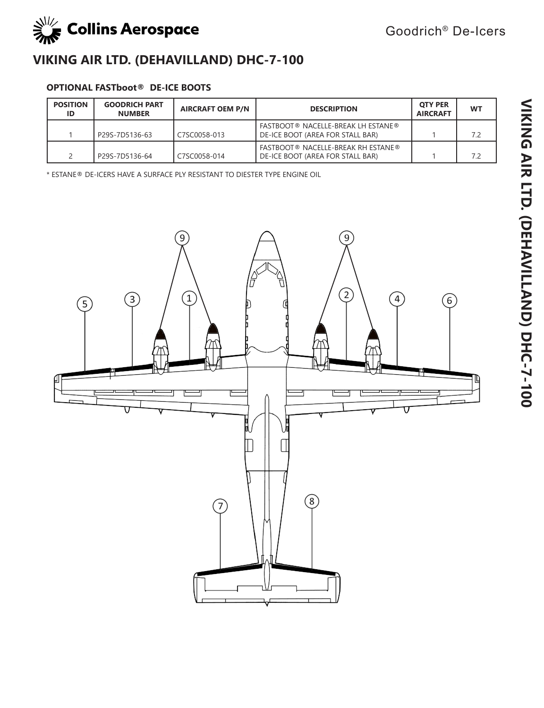

### **OPTIONAL FASTboot® DE-ICE BOOTS**

| <b>POSITION</b><br>ID | <b>GOODRICH PART</b><br><b>NUMBER</b> | <b>AIRCRAFT OEM P/N</b> | <b>DESCRIPTION</b>                                                            | <b>OTY PER</b><br><b>AIRCRAFT</b> | <b>WT</b> |
|-----------------------|---------------------------------------|-------------------------|-------------------------------------------------------------------------------|-----------------------------------|-----------|
|                       | P29S-7D5136-63                        | C7SC0058-013            | <b>FASTBOOT® NACELLE-BREAK LH ESTANE®</b><br>DE-ICE BOOT (AREA FOR STALL BAR) |                                   | 7.2       |
|                       | P29S-7D5136-64                        | C7SC0058-014            | <b>FASTBOOT® NACELLE-BREAK RH ESTANE®</b><br>DE-ICE BOOT (AREA FOR STALL BAR) |                                   | 7.2       |

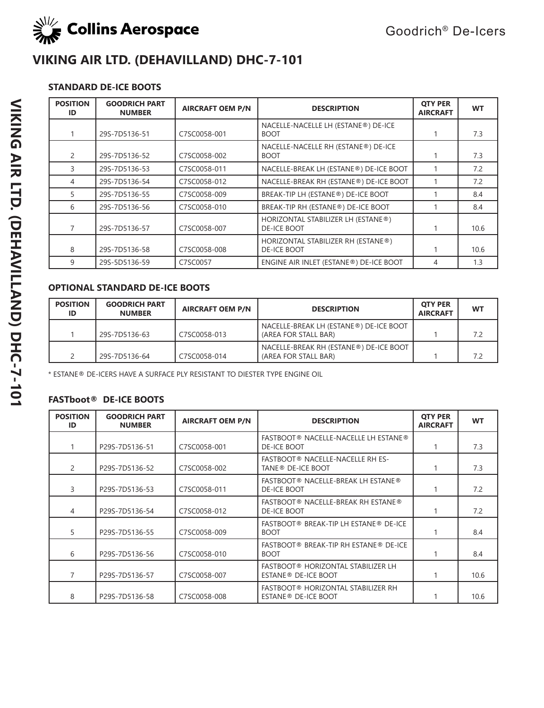

### **STANDARD DE-ICE BOOTS**

| <b>POSITION</b><br>ID | <b>GOODRICH PART</b><br><b>NUMBER</b> | <b>AIRCRAFT OEM P/N</b> | <b>DESCRIPTION</b>                                       | <b>QTY PER</b><br><b>AIRCRAFT</b> | <b>WT</b> |
|-----------------------|---------------------------------------|-------------------------|----------------------------------------------------------|-----------------------------------|-----------|
|                       | 29S-7D5136-51                         | C7SC0058-001            | NACELLE-NACELLE LH (ESTANE®) DE-ICE<br><b>BOOT</b>       |                                   | 7.3       |
| 2                     | 29S-7D5136-52                         | C7SC0058-002            | NACELLE-NACELLE RH (ESTANE®) DE-ICE<br><b>BOOT</b>       |                                   | 7.3       |
| 3                     | 29S-7D5136-53                         | C7SC0058-011            | NACELLE-BREAK LH (ESTANE®) DE-ICE BOOT                   |                                   | 7.2       |
| 4                     | 29S-7D5136-54                         | C7SC0058-012            | NACELLE-BREAK RH (ESTANE®) DE-ICE BOOT                   |                                   | 7.2       |
| 5                     | 29S-7D5136-55                         | C7SC0058-009            | BREAK-TIP LH (ESTANE®) DE-ICE BOOT                       |                                   | 8.4       |
| 6                     | 29S-7D5136-56                         | C7SC0058-010            | BREAK-TIP RH (ESTANE®) DE-ICE BOOT                       |                                   | 8.4       |
|                       | 29S-7D5136-57                         | C7SC0058-007            | HORIZONTAL STABILIZER LH (ESTANE®)<br><b>DE-ICE BOOT</b> |                                   | 10.6      |
| 8                     | 29S-7D5136-58                         | C7SC0058-008            | HORIZONTAL STABILIZER RH (ESTANE®)<br><b>DE-ICE BOOT</b> |                                   | 10.6      |
| 9                     | 29S-5D5136-59                         | C7SC0057                | ENGINE AIR INLET (ESTANE®) DE-ICE BOOT                   | 4                                 | 1.3       |

### **OPTIONAL STANDARD DE-ICE BOOTS**

| <b>POSITION</b><br>ID | <b>GOODRICH PART</b><br><b>NUMBER</b> | <b>AIRCRAFT OEM P/N</b> | <b>DESCRIPTION</b>                                             | <b>OTY PER</b><br><b>AIRCRAFT</b> | <b>WT</b> |
|-----------------------|---------------------------------------|-------------------------|----------------------------------------------------------------|-----------------------------------|-----------|
|                       | 29S-7D5136-63                         | C7SC0058-013            | NACELLE-BREAK LH (ESTANE®) DE-ICE BOOT<br>(AREA FOR STALL BAR) |                                   | 7.2       |
|                       | 29S-7D5136-64                         | C7SC0058-014            | NACELLE-BREAK RH (ESTANE®) DE-ICE BOOT<br>(AREA FOR STALL BAR) |                                   | 7.2       |

\* ESTANE® DE-ICERS HAVE A SURFACE PLY RESISTANT TO DIESTER TYPE ENGINE OIL

| <b>POSITION</b><br>ID | <b>GOODRICH PART</b><br><b>NUMBER</b> | <b>AIRCRAFT OEM P/N</b> | <b>DESCRIPTION</b>                                                    | <b>OTY PER</b><br><b>AIRCRAFT</b> | <b>WT</b> |
|-----------------------|---------------------------------------|-------------------------|-----------------------------------------------------------------------|-----------------------------------|-----------|
|                       | P29S-7D5136-51                        | C7SC0058-001            | <b>FASTBOOT® NACELLE-NACELLE LH ESTANE®</b><br>DE-ICE BOOT            |                                   | 7.3       |
| 2                     | P29S-7D5136-52                        | C7SC0058-002            | FASTBOOT® NACELLE-NACELLE RH ES-<br>TANE <sup>®</sup> DE-ICE BOOT     |                                   | 7.3       |
| 3                     | P29S-7D5136-53                        | C7SC0058-011            | <b>FASTBOOT® NACELLE-BREAK LH ESTANE®</b><br><b>DE-ICE BOOT</b>       |                                   | 7.2       |
| 4                     | P29S-7D5136-54                        | C7SC0058-012            | FASTBOOT® NACELLE-BREAK RH ESTANE®<br><b>DE-ICE BOOT</b>              |                                   | 7.2       |
| 5                     | P29S-7D5136-55                        | C7SC0058-009            | FASTBOOT® BREAK-TIP LH ESTANE® DE-ICE<br><b>BOOT</b>                  |                                   | 8.4       |
| 6                     | P29S-7D5136-56                        | C7SC0058-010            | FASTBOOT® BREAK-TIP RH ESTANE® DE-ICE<br><b>BOOT</b>                  |                                   | 8.4       |
|                       | P29S-7D5136-57                        | C7SC0058-007            | FASTBOOT® HORIZONTAL STABILIZER LH<br>ESTANE <sup>®</sup> DE-ICE BOOT |                                   | 10.6      |
| 8                     | P29S-7D5136-58                        | C7SC0058-008            | FASTBOOT® HORIZONTAL STABILIZER RH<br>ESTANE <sup>®</sup> DE-ICE BOOT |                                   | 10.6      |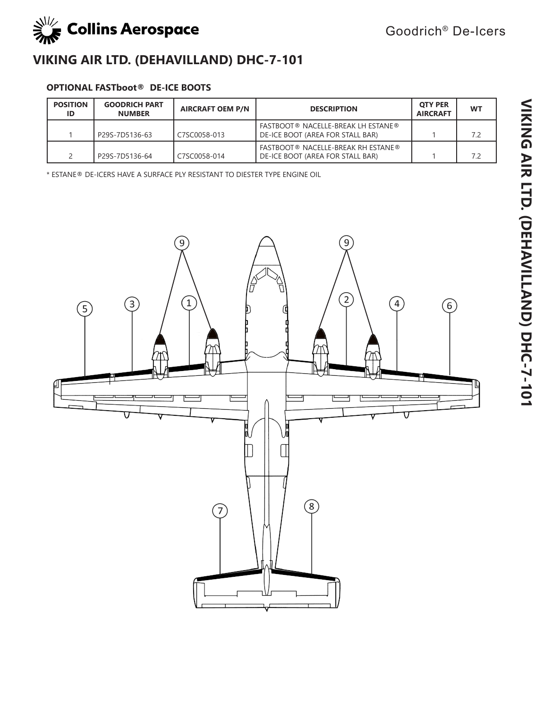

### **OPTIONAL FASTboot® DE-ICE BOOTS**

| <b>POSITION</b><br>ID | <b>GOODRICH PART</b><br><b>NUMBER</b> | <b>AIRCRAFT OEM P/N</b> | <b>DESCRIPTION</b>                                                            | <b>OTY PER</b><br><b>AIRCRAFT</b> | <b>WT</b> |
|-----------------------|---------------------------------------|-------------------------|-------------------------------------------------------------------------------|-----------------------------------|-----------|
|                       | P29S-7D5136-63                        | C7SC0058-013            | <b>FASTBOOT® NACELLE-BREAK LH ESTANE®</b><br>DE-ICE BOOT (AREA FOR STALL BAR) |                                   | 7.2       |
|                       | P29S-7D5136-64                        | C7SC0058-014            | <b>FASTBOOT® NACELLE-BREAK RH ESTANE®</b><br>DE-ICE BOOT (AREA FOR STALL BAR) |                                   | 7.2       |

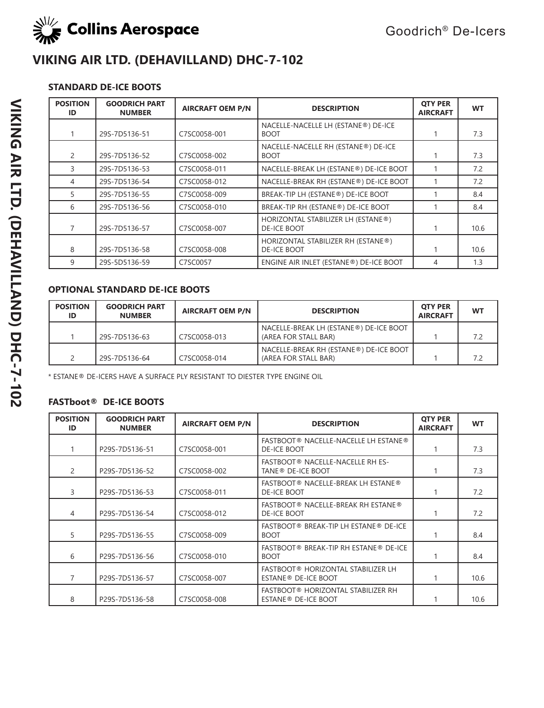

### **STANDARD DE-ICE BOOTS**

| <b>POSITION</b><br>ID | <b>GOODRICH PART</b><br><b>NUMBER</b> | <b>AIRCRAFT OEM P/N</b> | <b>DESCRIPTION</b>                                       | <b>OTY PER</b><br><b>AIRCRAFT</b> | <b>WT</b> |
|-----------------------|---------------------------------------|-------------------------|----------------------------------------------------------|-----------------------------------|-----------|
|                       | 29S-7D5136-51                         | C7SC0058-001            | NACELLE-NACELLE LH (ESTANE®) DE-ICE<br><b>BOOT</b>       |                                   | 7.3       |
| 2                     | 29S-7D5136-52                         | C7SC0058-002            | NACELLE-NACELLE RH (ESTANE®) DE-ICE<br><b>BOOT</b>       |                                   | 7.3       |
| 3                     | 29S-7D5136-53                         | C7SC0058-011            | NACELLE-BREAK LH (ESTANE®) DE-ICE BOOT                   |                                   | 7.2       |
| 4                     | 29S-7D5136-54                         | C7SC0058-012            | NACELLE-BREAK RH (ESTANE®) DE-ICE BOOT                   |                                   | 7.2       |
| 5                     | 29S-7D5136-55                         | C7SC0058-009            | BREAK-TIP LH (ESTANE®) DE-ICE BOOT                       |                                   | 8.4       |
| 6                     | 29S-7D5136-56                         | C7SC0058-010            | BREAK-TIP RH (ESTANE®) DE-ICE BOOT                       |                                   | 8.4       |
|                       | 29S-7D5136-57                         | C7SC0058-007            | HORIZONTAL STABILIZER LH (ESTANE®)<br><b>DE-ICE BOOT</b> |                                   | 10.6      |
| 8                     | 29S-7D5136-58                         | C7SC0058-008            | HORIZONTAL STABILIZER RH (ESTANE®)<br><b>DE-ICE BOOT</b> |                                   | 10.6      |
| 9                     | 29S-5D5136-59                         | C7SC0057                | ENGINE AIR INLET (ESTANE®) DE-ICE BOOT                   | 4                                 | 1.3       |

#### **OPTIONAL STANDARD DE-ICE BOOTS**

| <b>POSITION</b><br>ID | <b>GOODRICH PART</b><br><b>NUMBER</b> | <b>AIRCRAFT OEM P/N</b> | <b>DESCRIPTION</b>                                             | <b>OTY PER</b><br><b>AIRCRAFT</b> | <b>WT</b> |
|-----------------------|---------------------------------------|-------------------------|----------------------------------------------------------------|-----------------------------------|-----------|
|                       | 29S-7D5136-63                         | C7SC0058-013            | NACELLE-BREAK LH (ESTANE®) DE-ICE BOOT<br>(AREA FOR STALL BAR) |                                   | 72        |
|                       | 29S-7D5136-64                         | C7SC0058-014            | NACELLE-BREAK RH (ESTANE®) DE-ICE BOOT<br>(AREA FOR STALL BAR) |                                   | 72        |

\* ESTANE® DE-ICERS HAVE A SURFACE PLY RESISTANT TO DIESTER TYPE ENGINE OIL

| <b>POSITION</b><br>ID | <b>GOODRICH PART</b><br><b>NUMBER</b> | <b>AIRCRAFT OEM P/N</b> | <b>DESCRIPTION</b>                                                    | <b>OTY PER</b><br><b>AIRCRAFT</b> | <b>WT</b> |
|-----------------------|---------------------------------------|-------------------------|-----------------------------------------------------------------------|-----------------------------------|-----------|
|                       | P29S-7D5136-51                        | C7SC0058-001            | FASTBOOT® NACELLE-NACELLE LH ESTANE®<br><b>DE-ICE BOOT</b>            |                                   | 7.3       |
| 2                     | P29S-7D5136-52                        | C7SC0058-002            | FASTBOOT® NACELLE-NACELLE RH ES-<br>TANE <sup>®</sup> DE-ICE BOOT     |                                   | 7.3       |
| 3                     | P29S-7D5136-53                        | C7SC0058-011            | FASTBOOT® NACELLE-BREAK LH ESTANE®<br><b>DE-ICE BOOT</b>              |                                   | 7.2       |
| 4                     | P29S-7D5136-54                        | C7SC0058-012            | FASTBOOT® NACELLE-BREAK RH ESTANE®<br>DE-ICE BOOT                     |                                   | 7.2       |
| 5                     | P29S-7D5136-55                        | C7SC0058-009            | FASTBOOT® BREAK-TIP LH ESTANE® DE-ICE<br><b>BOOT</b>                  |                                   | 8.4       |
| 6                     | P29S-7D5136-56                        | C7SC0058-010            | FASTBOOT® BREAK-TIP RH ESTANE® DE-ICE<br><b>BOOT</b>                  |                                   | 8.4       |
|                       | P29S-7D5136-57                        | C7SC0058-007            | FASTBOOT® HORIZONTAL STABILIZER LH<br>ESTANE <sup>®</sup> DE-ICE BOOT |                                   | 10.6      |
| 8                     | P29S-7D5136-58                        | C7SC0058-008            | FASTBOOT® HORIZONTAL STABILIZER RH<br>ESTANE <sup>®</sup> DE-ICE BOOT |                                   | 10.6      |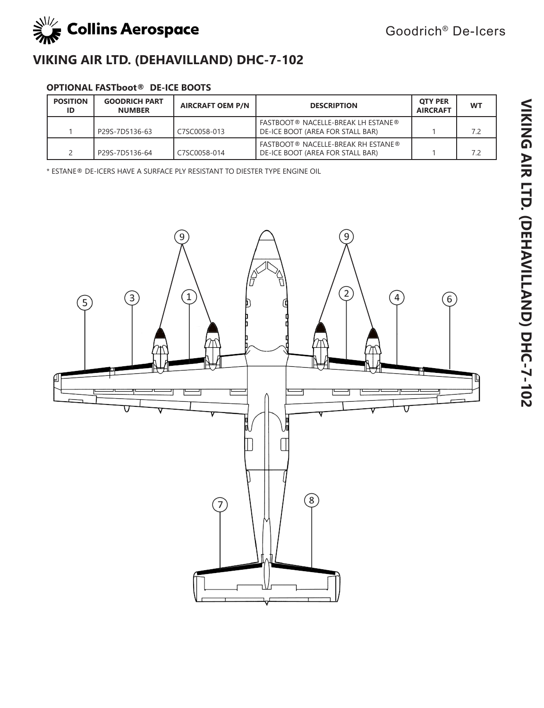

#### **OPTIONAL FASTboot® DE-ICE BOOTS**

| <b>POSITION</b><br>ID | <b>GOODRICH PART</b><br><b>NUMBER</b> | <b>AIRCRAFT OEM P/N</b> | <b>DESCRIPTION</b>                                                            | <b>OTY PER</b><br><b>AIRCRAFT</b> | <b>WT</b> |
|-----------------------|---------------------------------------|-------------------------|-------------------------------------------------------------------------------|-----------------------------------|-----------|
|                       | P29S-7D5136-63                        | C7SC0058-013            | <b>FASTBOOT® NACELLE-BREAK LH ESTANE®</b><br>DE-ICE BOOT (AREA FOR STALL BAR) |                                   | 7.2       |
|                       | P29S-7D5136-64                        | C7SC0058-014            | <b>FASTBOOT® NACELLE-BREAK RH ESTANE®</b><br>DE-ICE BOOT (AREA FOR STALL BAR) |                                   | 7.2       |

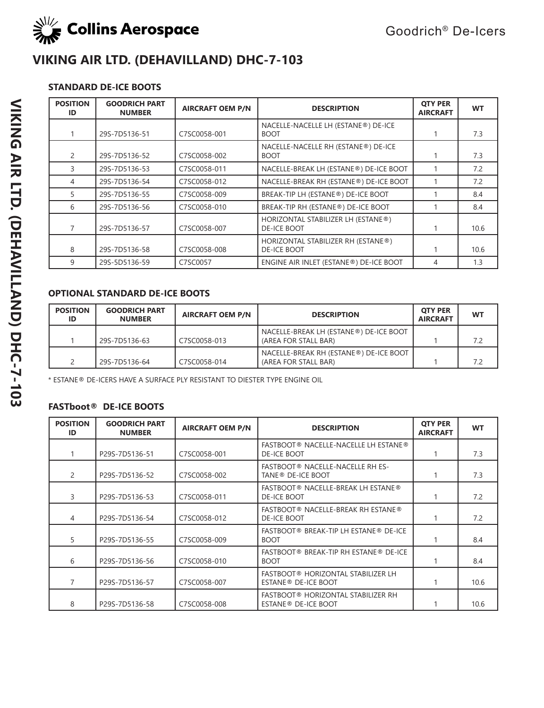

### **STANDARD DE-ICE BOOTS**

| <b>POSITION</b><br>ID | <b>GOODRICH PART</b><br><b>NUMBER</b> | <b>AIRCRAFT OEM P/N</b> | <b>DESCRIPTION</b>                                       | <b>OTY PER</b><br><b>AIRCRAFT</b> | <b>WT</b> |
|-----------------------|---------------------------------------|-------------------------|----------------------------------------------------------|-----------------------------------|-----------|
|                       | 29S-7D5136-51                         | C7SC0058-001            | NACELLE-NACELLE LH (ESTANE®) DE-ICE<br><b>BOOT</b>       |                                   | 7.3       |
| 2                     | 29S-7D5136-52                         | C7SC0058-002            | NACELLE-NACELLE RH (ESTANE®) DE-ICE<br><b>BOOT</b>       |                                   | 7.3       |
| 3                     | 29S-7D5136-53                         | C7SC0058-011            | NACELLE-BREAK LH (ESTANE®) DE-ICE BOOT                   |                                   | 7.2       |
| 4                     | 29S-7D5136-54                         | C7SC0058-012            | NACELLE-BREAK RH (ESTANE®) DE-ICE BOOT                   |                                   | 7.2       |
| 5                     | 29S-7D5136-55                         | C7SC0058-009            | BREAK-TIP LH (ESTANE®) DE-ICE BOOT                       |                                   | 8.4       |
| 6                     | 29S-7D5136-56                         | C7SC0058-010            | BREAK-TIP RH (ESTANE®) DE-ICE BOOT                       |                                   | 8.4       |
|                       | 29S-7D5136-57                         | C7SC0058-007            | HORIZONTAL STABILIZER LH (ESTANE®)<br><b>DE-ICE BOOT</b> |                                   | 10.6      |
| 8                     | 29S-7D5136-58                         | C7SC0058-008            | HORIZONTAL STABILIZER RH (ESTANE®)<br><b>DE-ICE BOOT</b> |                                   | 10.6      |
| 9                     | 29S-5D5136-59                         | C7SC0057                | ENGINE AIR INLET (ESTANE®) DE-ICE BOOT                   | 4                                 | 1.3       |

### **OPTIONAL STANDARD DE-ICE BOOTS**

| <b>POSITION</b><br>ID | <b>GOODRICH PART</b><br><b>NUMBER</b> | <b>AIRCRAFT OEM P/N</b> | <b>DESCRIPTION</b>                                             | <b>OTY PER</b><br><b>AIRCRAFT</b> | WT |
|-----------------------|---------------------------------------|-------------------------|----------------------------------------------------------------|-----------------------------------|----|
|                       | 29S-7D5136-63                         | C7SC0058-013            | NACELLE-BREAK LH (ESTANE®) DE-ICE BOOT<br>(AREA FOR STALL BAR) |                                   | 72 |
|                       | 29S-7D5136-64                         | C7SC0058-014            | NACELLE-BREAK RH (ESTANE®) DE-ICE BOOT<br>(AREA FOR STALL BAR) |                                   |    |

\* ESTANE® DE-ICERS HAVE A SURFACE PLY RESISTANT TO DIESTER TYPE ENGINE OIL

| <b>POSITION</b><br>ID | <b>GOODRICH PART</b><br><b>NUMBER</b> | <b>AIRCRAFT OEM P/N</b> | <b>DESCRIPTION</b>                                                    | <b>QTY PER</b><br><b>AIRCRAFT</b> | <b>WT</b> |
|-----------------------|---------------------------------------|-------------------------|-----------------------------------------------------------------------|-----------------------------------|-----------|
|                       | P29S-7D5136-51                        | C7SC0058-001            | FASTBOOT® NACELLE-NACELLE LH ESTANE®<br><b>DE-ICE BOOT</b>            |                                   | 7.3       |
| 2                     | P29S-7D5136-52                        | C7SC0058-002            | FASTBOOT® NACELLE-NACELLE RH ES-<br>TANE <sup>®</sup> DE-ICE BOOT     |                                   | 7.3       |
| 3                     | P29S-7D5136-53                        | C7SC0058-011            | FASTBOOT® NACELLE-BREAK LH ESTANE®<br><b>DE-ICE BOOT</b>              |                                   | 7.2       |
| 4                     | P29S-7D5136-54                        | C7SC0058-012            | FASTBOOT® NACELLE-BREAK RH ESTANE®<br><b>DE-ICE BOOT</b>              |                                   | 7.2       |
| 5                     | P29S-7D5136-55                        | C7SC0058-009            | FASTBOOT® BREAK-TIP LH ESTANE® DE-ICE<br><b>BOOT</b>                  |                                   | 8.4       |
| 6                     | P29S-7D5136-56                        | C7SC0058-010            | FASTBOOT® BREAK-TIP RH ESTANE® DE-ICE<br><b>BOOT</b>                  |                                   | 8.4       |
|                       | P29S-7D5136-57                        | C7SC0058-007            | FASTBOOT® HORIZONTAL STABILIZER LH<br>ESTANE <sup>®</sup> DE-ICE BOOT |                                   | 10.6      |
| 8                     | P29S-7D5136-58                        | C7SC0058-008            | FASTBOOT® HORIZONTAL STABILIZER RH<br>ESTANE <sup>®</sup> DE-ICE BOOT |                                   | 10.6      |